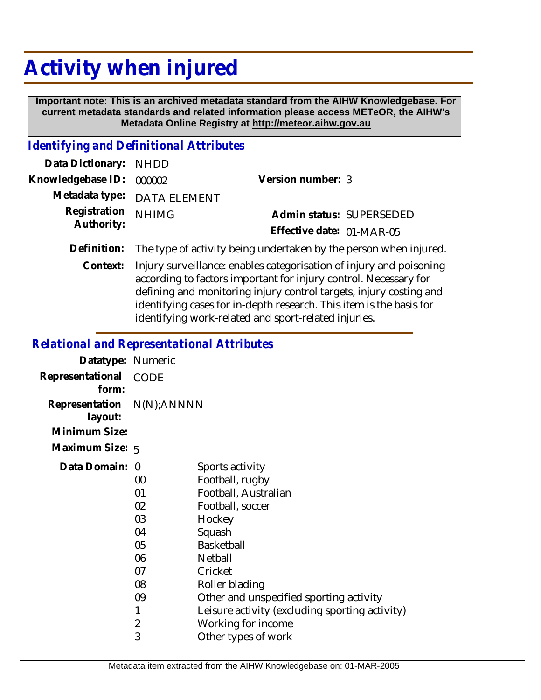# **Activity when injured**

 **Important note: This is an archived metadata standard from the AIHW Knowledgebase. For current metadata standards and related information please access METeOR, the AIHW's Metadata Online Registry at http://meteor.aihw.gov.au**

#### *Identifying and Definitional Attributes*

| Data Dictionary: NHDD    |                                                                               |                           |                          |
|--------------------------|-------------------------------------------------------------------------------|---------------------------|--------------------------|
| Knowledgebase ID: 000002 |                                                                               | Version number: 3         |                          |
|                          | Metadata type: DATA ELEMENT                                                   |                           |                          |
| Registration NHIMG       |                                                                               |                           | Admin status: SUPERSEDED |
| Authority:               |                                                                               | Effective date: 01-MAR-05 |                          |
|                          | Definition: The type of activity being undertaken by the person when injured. |                           |                          |

Context: Injury surveillance: enables categorisation of injury and poisoning according to factors important for injury control. Necessary for defining and monitoring injury control targets, injury costing and identifying cases for in-depth research. This item is the basis for identifying work-related and sport-related injuries.

#### *Relational and Representational Attributes*

| Datatype: Numeric                                     |                                                                                 |                                                                                                                                                                                                                                                                             |
|-------------------------------------------------------|---------------------------------------------------------------------------------|-----------------------------------------------------------------------------------------------------------------------------------------------------------------------------------------------------------------------------------------------------------------------------|
| Representational<br>form:                             | CODE                                                                            |                                                                                                                                                                                                                                                                             |
| Representation N(N);ANNNN<br>layout:<br>Minimum Size: |                                                                                 |                                                                                                                                                                                                                                                                             |
| Maximum Size: 5                                       |                                                                                 |                                                                                                                                                                                                                                                                             |
| Data Domain: 0                                        | 00<br>01<br>02<br>03<br>04<br>05<br>06<br>07<br>08<br>09<br>1<br>$\overline{2}$ | Sports activity<br>Football, rugby<br>Football, Australian<br>Football, soccer<br>Hockey<br>Squash<br>Basketball<br>Netball<br>Cricket<br>Roller blading<br>Other and unspecified sporting activity<br>Leisure activity (excluding sporting activity)<br>Working for income |
|                                                       | 3                                                                               | Other types of work                                                                                                                                                                                                                                                         |